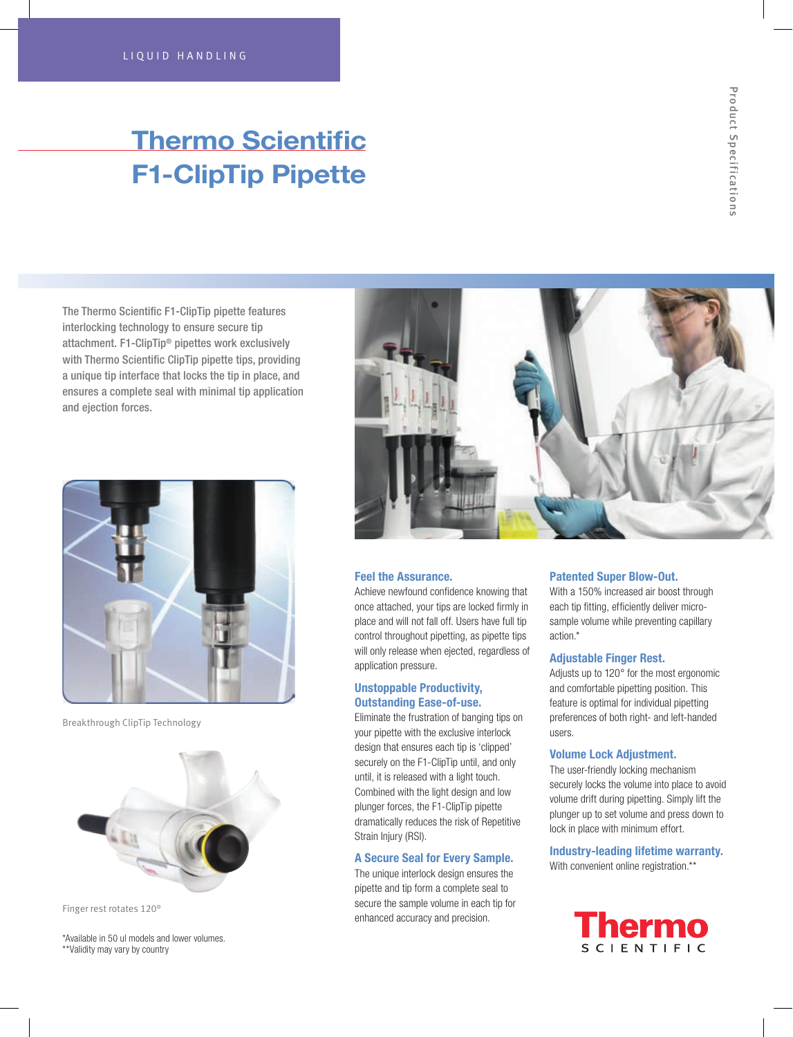# Thermo Scientific F1-ClipTip Pipette

The Thermo Scientific F1-ClipTip pipette features interlocking technology to ensure secure tip attachment. F1-ClipTip® pipettes work exclusively with Thermo Scientific ClipTip pipette tips, providing a unique tip interface that locks the tip in place, and ensures a complete seal with minimal tip application and ejection forces.



Breakthrough ClipTip Technology



Finger rest rotates 120°

\*Available in 50 ul models and lower volumes. \*\*Validity may vary by country



### Feel the Assurance.

Achieve newfound confidence knowing that once attached, your tips are locked firmly in place and will not fall off. Users have full tip control throughout pipetting, as pipette tips will only release when ejected, regardless of application pressure.

### Unstoppable Productivity, Outstanding Ease-of-use.

Eliminate the frustration of banging tips on your pipette with the exclusive interlock design that ensures each tip is 'clipped' securely on the F1-ClipTip until, and only until, it is released with a light touch. Combined with the light design and low plunger forces, the F1-ClipTip pipette dramatically reduces the risk of Repetitive Strain Injury (RSI).

### A Secure Seal for Every Sample.

The unique interlock design ensures the pipette and tip form a complete seal to secure the sample volume in each tip for enhanced accuracy and precision.

### Patented Super Blow-Out.

With a 150% increased air boost through each tip fitting, efficiently deliver microsample volume while preventing capillary action.\*

#### Adjustable Finger Rest.

Adjusts up to 120° for the most ergonomic and comfortable pipetting position. This feature is optimal for individual pipetting preferences of both right- and left-handed users.

### Volume Lock Adjustment.

The user-friendly locking mechanism securely locks the volume into place to avoid volume drift during pipetting. Simply lift the plunger up to set volume and press down to lock in place with minimum effort.

### Industry-leading lifetime warranty. With convenient online registration.\*\*

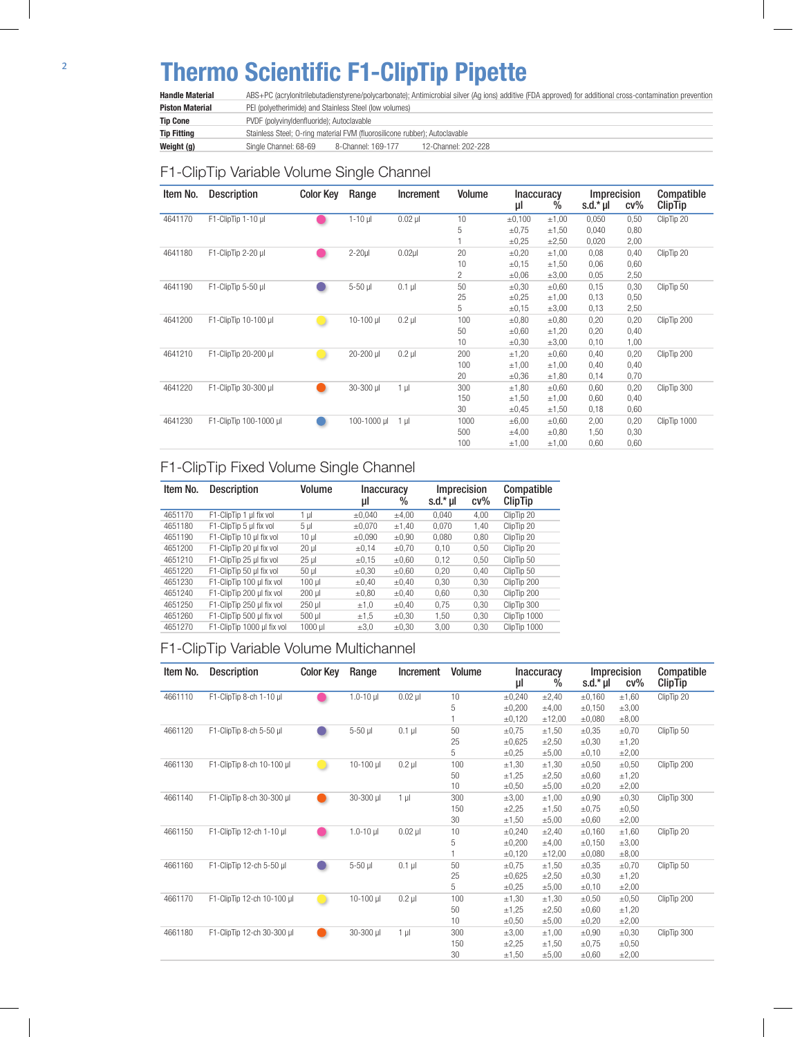# Thermo Scientific F1-ClipTip Pipette

Handle Material ABS+PC (acrylonitrilebutadienstyrene/polycarbonate); Antimicrobial silver (Ag ions) additive (FDA approved) for additional cross-contamination prevention Piston Material PEI (polyetherimide) and Stainless Steel (low volumes) Tip Cone PVDF (polyvinyldenfluoride); Autoclavable Tip Fitting Stainless Steel; O-ring material FVM (fluorosilicone rubber); Autoclavable Weight (g) Single Channel: 68-69 8-Channel: 169-177 12-Channel: 202-228

## F1-ClipTip Variable Volume Single Channel

| Item No. | <b>Description</b>     | <b>Color Key</b> | Range        | Increment      | Volume         | <b>Inaccuracy</b><br>μI | $\%$       | Imprecision<br>s.d. $*$ µl | $cv\%$ | Compatible<br><b>ClipTip</b> |
|----------|------------------------|------------------|--------------|----------------|----------------|-------------------------|------------|----------------------------|--------|------------------------------|
| 4641170  | F1-ClipTip 1-10 µl     |                  | $1-10$ $\mu$ | $0.02$ $\mu$   | 10             | ±0,100                  | ±1,00      | 0,050                      | 0,50   | ClipTip 20                   |
|          |                        |                  |              |                | 5              | $\pm 0.75$              | $\pm$ 1,50 | 0,040                      | 0,80   |                              |
|          |                        |                  |              |                |                | $\pm 0.25$              | $\pm 2.50$ | 0,020                      | 2,00   |                              |
| 4641180  | F1-ClipTip 2-20 µl     |                  | $2-20$ µ     | $0.02$ µl      | 20             | $\pm 0.20$              | ±1,00      | 0,08                       | 0,40   | ClipTip 20                   |
|          |                        |                  |              |                | 10             | $\pm 0, 15$             | $\pm$ 1,50 | 0,06                       | 0,60   |                              |
|          |                        |                  |              |                | $\overline{c}$ | $\pm 0.06$              | $\pm 3,00$ | 0,05                       | 2,50   |                              |
| 4641190  | F1-ClipTip 5-50 µl     |                  | 5-50 µl      | $0.1$ µ        | 50             | $\pm 0,30$              | $\pm 0.60$ | 0,15                       | 0,30   | ClipTip 50                   |
|          |                        |                  |              |                | 25             | $\pm 0.25$              | ±1,00      | 0,13                       | 0,50   |                              |
|          |                        |                  |              |                | 5              | ±0,15                   | $\pm 3,00$ | 0,13                       | 2,50   |                              |
| 4641200  | F1-ClipTip 10-100 µl   |                  | $10-100$ µ   | $0.2$ $\mu$    | 100            | $\pm 0.80$              | $\pm 0.80$ | 0,20                       | 0,20   | ClipTip 200                  |
|          |                        |                  |              |                | 50             | $\pm 0.60$              | ±1,20      | 0,20                       | 0,40   |                              |
|          |                        |                  |              |                | 10             | $\pm 0,30$              | $\pm 3,00$ | 0,10                       | 1,00   |                              |
| 4641210  | F1-ClipTip 20-200 µl   |                  | 20-200 µl    | $0.2$ $\mu$    | 200            | ±1,20                   | $\pm 0.60$ | 0,40                       | 0,20   | ClipTip 200                  |
|          |                        |                  |              |                | 100            | ±1,00                   | ±1,00      | 0,40                       | 0,40   |                              |
|          |                        |                  |              |                | 20             | $\pm 0,36$              | ±1,80      | 0,14                       | 0,70   |                              |
| 4641220  | F1-ClipTip 30-300 µl   |                  | 30-300 µl    | $1 \mu$        | 300            | ±1,80                   | $\pm 0.60$ | 0,60                       | 0,20   | ClipTip 300                  |
|          |                        |                  |              |                | 150            | ±1,50                   | ±1,00      | 0,60                       | 0,40   |                              |
|          |                        |                  |              |                | 30             | $\pm 0,45$              | $\pm 1,50$ | 0,18                       | 0,60   |                              |
| 4641230  | F1-ClipTip 100-1000 µl |                  | 100-1000 µl  | 1 <sub>µ</sub> | 1000           | $\pm 6,00$              | $\pm 0.60$ | 2,00                       | 0,20   | ClipTip 1000                 |
|          |                        |                  |              |                | 500            | $\pm 4,00$              | $\pm 0.80$ | 1,50                       | 0,30   |                              |
|          |                        |                  |              |                | 100            | ±1,00                   | ±1,00      | 0,60                       | 0,60   |                              |

# F1-ClipTip Fixed Volume Single Channel

| Item No. | <b>Description</b>         | Volume          | <b>Inaccuracy</b> |            | Imprecision |        | Compatible<br>ClipTip |
|----------|----------------------------|-----------------|-------------------|------------|-------------|--------|-----------------------|
|          |                            |                 | μl                | $\%$       | s.d.* µl    | $cv\%$ |                       |
| 4651170  | F1-ClipTip 1 µl fix vol    | 1 µl            | ±0.040            | $\pm 4.00$ | 0.040       | 4.00   | ClipTip 20            |
| 4651180  | F1-ClipTip 5 µl fix vol    | 5 <sub>µ</sub>  | ±0.070            | ±1,40      | 0.070       | 1.40   | ClipTip 20            |
| 4651190  | F1-ClipTip 10 µl fix vol   | 10 <sub>µ</sub> | ±0.090            | $\pm 0.90$ | 0.080       | 0.80   | ClipTip 20            |
| 4651200  | F1-ClipTip 20 µl fix vol   | $20 \mu$        | $\pm 0.14$        | $\pm 0.70$ | 0,10        | 0.50   | ClipTip 20            |
| 4651210  | F1-ClipTip 25 µl fix vol   | $25 \mu$        | ±0,15             | $\pm 0.60$ | 0,12        | 0.50   | ClipTip 50            |
| 4651220  | F1-ClipTip 50 µl fix vol   | $50$ $\mu$      | $\pm 0.30$        | $\pm 0.60$ | 0.20        | 0.40   | ClipTip 50            |
| 4651230  | F1-ClipTip 100 µl fix vol  | $100$ $\mu$     | $\pm 0.40$        | $\pm 0.40$ | 0,30        | 0.30   | ClipTip 200           |
| 4651240  | F1-ClipTip 200 µl fix vol  | $200$ $\mu$     | $\pm 0.80$        | $\pm 0.40$ | 0,60        | 0,30   | ClipTip 200           |
| 4651250  | F1-ClipTip 250 ul fix vol  | 250 µl          | ±1,0              | $\pm 0.40$ | 0.75        | 0.30   | ClipTip 300           |
| 4651260  | F1-ClipTip 500 µl fix vol  | 500 µl          | ±1,5              | $\pm 0.30$ | 1.50        | 0.30   | ClipTip 1000          |
| 4651270  | F1-ClipTip 1000 ul fix vol | 1000 ul         | $\pm 3.0$         | $\pm 0.30$ | 3,00        | 0.30   | ClipTip 1000          |

### F1-ClipTip Variable Volume Multichannel

| Item No. | <b>Description</b>         | <b>Color Key</b> | Range         | Increment      | <b>Volume</b> | μI          | <b>Inaccuracy</b><br>% | s.d. $*$ µl | Imprecision<br>$cv\%$ | Compatible<br><b>ClipTip</b> |
|----------|----------------------------|------------------|---------------|----------------|---------------|-------------|------------------------|-------------|-----------------------|------------------------------|
| 4661110  | F1-ClipTip 8-ch 1-10 µl    |                  | $1.0 - 10$ µl | $0.02$ $\mu$   | 10            | ±0,240      | $\pm 2,40$             | ±0,160      | ±1,60                 | ClipTip 20                   |
|          |                            |                  |               |                | 5             | $\pm 0.200$ | $\pm 4,00$             | ±0,150      | $\pm 3,00$            |                              |
|          |                            |                  |               |                |               | ±0,120      | ±12,00                 | ±0,080      | $\pm 8,00$            |                              |
| 4661120  | F1-ClipTip 8-ch 5-50 µl    |                  | 5-50 µl       | $0.1$ $\mu$    | 50            | $\pm 0.75$  | $\pm 1,50$             | $\pm 0.35$  | $\pm 0.70$            | ClipTip 50                   |
|          |                            |                  |               |                | 25            | ±0,625      | $\pm 2,50$             | $\pm 0,30$  | ±1,20                 |                              |
|          |                            |                  |               |                | 5             | $\pm 0.25$  | $\pm 5,00$             | $\pm 0,10$  | $\pm 2,00$            |                              |
| 4661130  | F1-ClipTip 8-ch 10-100 µl  |                  | 10-100 ul     | $0.2$ $\mu$    | 100           | $\pm 1,30$  | $\pm$ 1,30             | $\pm 0,50$  | $\pm 0,50$            | ClipTip 200                  |
|          |                            |                  |               |                | 50            | ±1,25       | $\pm 2,50$             | $\pm 0,60$  | ±1,20                 |                              |
|          |                            |                  |               |                | 10            | $\pm 0,50$  | $\pm 5,00$             | $\pm 0,20$  | $\pm 2,00$            |                              |
| 4661140  | F1-ClipTip 8-ch 30-300 µl  |                  | 30-300 µl     | 1 <sub>µ</sub> | 300           | $\pm 3.00$  | ±1,00                  | $\pm 0.90$  | $\pm 0.30$            | ClipTip 300                  |
|          |                            |                  |               |                | 150           | $\pm 2,25$  | ±1,50                  | $\pm 0.75$  | $\pm 0,50$            |                              |
|          |                            |                  |               |                | 30            | $\pm 1,50$  | $\pm 5,00$             | $\pm 0,60$  | $\pm 2,00$            |                              |
| 4661150  | F1-ClipTip 12-ch 1-10 µl   |                  | $1.0 - 10$ µl | $0.02$ $\mu$   | 10            | ±0,240      | $\pm 2,40$             | ±0,160      | ±1,60                 | ClipTip 20                   |
|          |                            |                  |               |                | 5             | ±0,200      | $\pm 4,00$             | ±0,150      | $\pm 3,00$            |                              |
|          |                            |                  |               |                |               | ±0,120      | ±12,00                 | ±0,080      | $\pm 8,00$            |                              |
| 4661160  | F1-ClipTip 12-ch 5-50 µl   |                  | $5-50$ $\mu$  | $0.1$ $\mu$    | 50            | $\pm 0.75$  | ±1,50                  | $\pm 0.35$  | $\pm 0,70$            | ClipTip 50                   |
|          |                            |                  |               |                | 25            | ±0,625      | $\pm 2,50$             | $\pm 0.30$  | ±1,20                 |                              |
|          |                            |                  |               |                | 5             | $\pm 0.25$  | $\pm 5,00$             | $\pm 0,10$  | $\pm 2,00$            |                              |
| 4661170  | F1-ClipTip 12-ch 10-100 µl |                  | 10-100 µl     | $0.2$ $\mu$    | 100           | $\pm$ 1,30  | ±1,30                  | $\pm 0,50$  | $\pm 0,50$            | ClipTip 200                  |
|          |                            |                  |               |                | 50            | ±1,25       | $\pm 2,50$             | $\pm 0,60$  | ±1,20                 |                              |
|          |                            |                  |               |                | 10            | $\pm 0,50$  | $\pm 5,00$             | $\pm 0,20$  | $\pm 2,00$            |                              |
| 4661180  | F1-ClipTip 12-ch 30-300 µl |                  | 30-300 µl     | 1 <sub>µ</sub> | 300           | $\pm 3,00$  | ±1,00                  | $\pm 0,90$  | $\pm 0.30$            | ClipTip 300                  |
|          |                            |                  |               |                | 150           | ±2,25       | ±1,50                  | $\pm 0.75$  | $\pm 0,50$            |                              |
|          |                            |                  |               |                | 30            | ±1,50       | $\pm 5,00$             | $\pm 0.60$  | $\pm 2,00$            |                              |